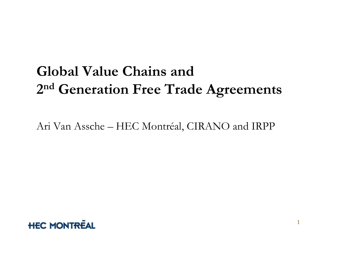## **Global Value Chains and 2 nd Generation Free Trade Agreements**

Ari Van Assche – HEC Montréal, CIRANO and IRPP

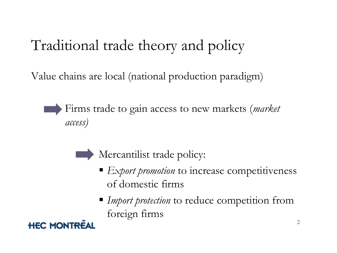## Traditional trade theory and policy

Value chains are local (national production paradigm)

Firms trade to gain access to new markets (*market access)*

Mercantilist trade policy:

- *Export promotion* to increase competitiveness of domestic firms
- *Import protection* to reduce competition from foreign firms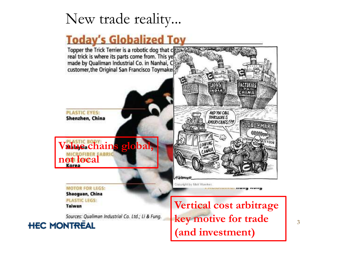## New trade reality...

#### **Today's Globalized Toy**



3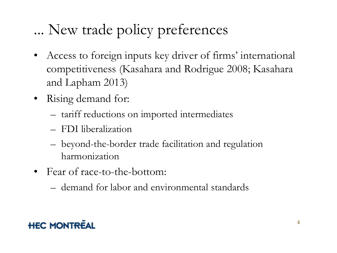# ... New trade policy preferences

- Access to foreign inputs key driver of firms' international competitiveness (Kasahara and Rodrigue 2008; Kasahara and Lapham 2013)
- Rising demand for:
	- tariff reductions on imported intermediates
	- FDI liberalization
	- beyond-the-border trade facilitation and regulation harmonization
- Fear of race-to-the-bottom:
	- demand for labor and environmental standards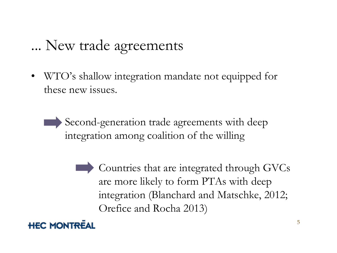### ... New trade agreements

• WTO's shallow integration mandate not equipped for these new issues.

Second-generation trade agreements with deep integration among coalition of the willing

> Countries that are integrated through GVCs are more likely to form PTAs with deep integration (Blanchard and Matschke, 2012; [O](http://www.hec.ca/prodgraphique/normes/logo/logo250.gif)refice and Rocha 2013)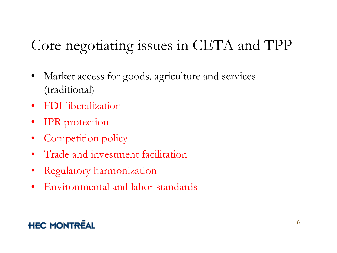## Core negotiating issues in CETA and TPP

- Market access for goods, agriculture and services (traditional)
- FDI liberalization
- IPR protection
- Competition policy
- Trade and investment facilitation
- Regulatory harmonization
- Environmental and labor standards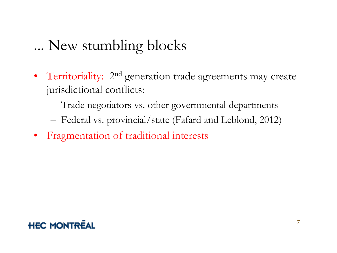### ... New stumbling blocks

- Territoriality: 2<sup>nd</sup> generation trade agreements may create jurisdictional conflicts:
	- Trade negotiators vs. other governmental departments
	- Federal vs. provincial/state (Fafard and Leblond, 2012)
- Fragmentation of traditional interests